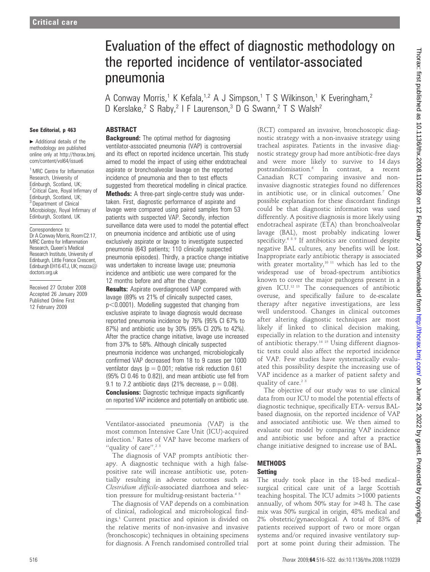# Evaluation of the effect of diagnostic methodology on the reported incidence of ventilator-associated pneumonia

A Conway Morris,<sup>1</sup> K Kefala,<sup>1,2</sup> A J Simpson,<sup>1</sup> T S Wilkinson,<sup>1</sup> K Everingham,<sup>2</sup> D Kerslake,<sup>2</sup> S Raby,<sup>2</sup> | F Laurenson,<sup>3</sup> D G Swann,<sup>2</sup> T S Walsh<sup>2</sup>

#### See Editorial, p 463

 $\blacktriangleright$  Additional details of the methodology are published online only at http://thorax.bmj. com/content/vol64/issue6

<sup>1</sup> MRC Centre for Inflammation Research, University of Edinburgh, Scotland, UK; <sup>2</sup> Critical Care, Royal Infirmary of Edinburgh, Scotland, UK; <sup>3</sup> Department of Clinical Microbiology, Royal Infirmary of Edinburgh, Scotland, UK

Correspondence to: Dr A Conway Morris, RoomC2.17, MRC Centre for Inflammation Research, Queen's Medical Research Institute, University of Edinburgh, Little France Crescent, Edinburgh EH16 4TJ, UK; mozza@ doctors.org.uk

Received 27 October 2008 Accepted 26 January 2009 Published Online First 12 February 2009

# **ABSTRACT**

**Background:** The optimal method for diagnosing ventilator-associated pneumonia (VAP) is controversial and its effect on reported incidence uncertain. This study aimed to model the impact of using either endotracheal aspirate or bronchoalveolar lavage on the reported incidence of pneumonia and then to test effects suggested from theoretical modelling in clinical practice. Methods: A three-part single-centre study was undertaken. First, diagnostic performance of aspirate and lavage were compared using paired samples from 53 patients with suspected VAP. Secondly, infection surveillance data were used to model the potential effect on pneumonia incidence and antibiotic use of using exclusively aspirate or lavage to investigate suspected pneumonia (643 patients; 110 clinically suspected pneumonia episodes). Thirdly, a practice change initiative was undertaken to increase lavage use; pneumonia incidence and antibiotic use were compared for the 12 months before and after the change.

**Results:** Aspirate overdiagnosed VAP compared with lavage (89% vs 21% of clinically suspected cases,  $p<0.0001$ ). Modelling suggested that changing from exclusive aspirate to lavage diagnosis would decrease reported pneumonia incidence by 76% (95% CI 67% to 87%) and antibiotic use by 30% (95% CI 20% to 42%). After the practice change initiative, lavage use increased from 37% to 58%. Although clinically suspected pneumonia incidence was unchanged, microbiologically confirmed VAP decreased from 18 to 9 cases per 1000 ventilator days ( $p = 0.001$ ; relative risk reduction 0.61 (95% CI 0.46 to 0.82)), and mean antibiotic use fell from 9.1 to 7.2 antibiotic days (21% decrease,  $p = 0.08$ ). **Conclusions:** Diagnostic technique impacts significantly on reported VAP incidence and potentially on antibiotic use.

Ventilator-associated pneumonia (VAP) is the most common Intensive Care Unit (ICU)-acquired infection.1 Rates of VAP have become markers of "quality of care".<sup>23</sup>

The diagnosis of VAP prompts antibiotic therapy. A diagnostic technique with a high falsepositive rate will increase antibiotic use, potentially resulting in adverse outcomes such as Clostridium difficile-associated diarrhoea and selection pressure for multidrug-resistant bacteria.<sup>45</sup>

The diagnosis of VAP depends on a combination of clinical, radiological and microbiological findings.1 Current practice and opinion is divided on the relative merits of non-invasive and invasive (bronchoscopic) techniques in obtaining specimens for diagnosis. A French randomised controlled trial

(RCT) compared an invasive, bronchoscopic diagnostic strategy with a non-invasive strategy using tracheal aspirates. Patients in the invasive diagnostic strategy group had more antibiotic-free days and were more likely to survive to 14 days postrandomisation.6 In contrast, a recent Canadian RCT comparing invasive and noninvasive diagnostic strategies found no differences in antibiotic use, or in clinical outcomes.<sup>7</sup> One possible explanation for these discordant findings could be that diagnostic information was used differently. A positive diagnosis is more likely using endotracheal aspirate (ETA) than bronchoalveolar lavage (BAL), most probably indicating lower specificity.<sup>689</sup> If antibiotics are continued despite negative BAL cultures, any benefits will be lost. Inappropriate early antibiotic therapy is associated with greater mortality,<sup>10 11</sup> which has led to the widespread use of broad-spectrum antibiotics known to cover the major pathogens present in a given ICU.12 13 The consequences of antibiotic overuse, and specifically failure to de-escalate therapy after negative investigations, are less well understood. Changes in clinical outcomes after altering diagnostic techniques are most likely if linked to clinical decision making, especially in relation to the duration and intensity of antibiotic therapy.<sup>14 15</sup> Using different diagnostic tests could also affect the reported incidence of VAP. Few studies have systematically evaluated this possibility despite the increasing use of VAP incidence as a marker of patient safety and quality of care.2 3

The objective of our study was to use clinical data from our ICU to model the potential effects of diagnostic technique, specifically ETA- versus BALbased diagnosis, on the reported incidence of VAP and associated antibiotic use. We then aimed to evaluate our model by comparing VAP incidence and antibiotic use before and after a practice change initiative designed to increase use of BAL.

#### **METHODS** Setting

The study took place in the 18-bed medical– surgical critical care unit of a large Scottish teaching hospital. The ICU admits  $>1000$  patients annually, of whom 50% stay for  $\geq 48$  h. The case mix was 50% surgical in origin, 48% medical and 2% obstetric/gynaecological. A total of 83% of patients received support of two or more organ systems and/or required invasive ventilatory support at some point during their admission. The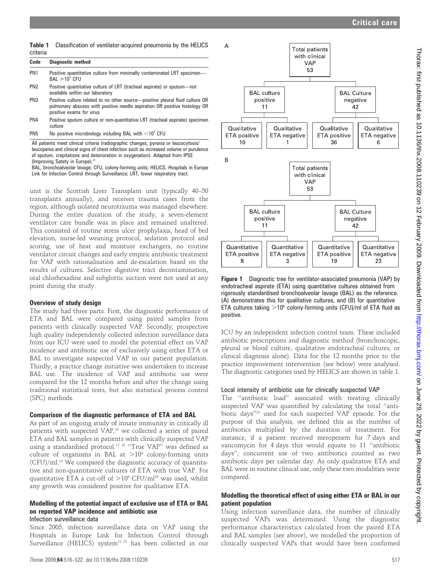Critical care

Table 1 Classification of ventilator-acquired pneumonia by the HELICS criteria

| Code            | <b>Diagnostic method</b>                                                                      |
|-----------------|-----------------------------------------------------------------------------------------------|
| PN <sub>1</sub> | Positive quantitative culture from minimally contaminated LRT specimen-<br>$BAL \ge 10^4$ CFU |
|                 |                                                                                               |

- PN2 Positive quantitative culture of LRT (tracheal aspirate) or sputum-not available within our laboratory
- PN3 Positive culture related to no other source-positive pleural fluid culture OR pulmonary abscess with positive needle aspiration OR positive histology OR positive exams for virus
- PN4 Positive sputum culture or non-quantitative LRT (tracheal aspirate) specimen culture
- PN5 No positive microbiology including BAL with  $<$ 10<sup>4</sup> CFU

All patients meet clinical criteria (radiographic changes, pyrexia or leucocytosis/ leucopenia and clinical signs of chest infection such as increased volume or purulence of sputum, crepitations and deterioration in oxygenation). Adapted from IPSE (Improving Satety in Europe).<sup>2</sup>

BAL, bronchoalveolar lavage; CFU, colony-forming units; HELICS, Hospitals in Europe Link for Infection Control through Surveillance; LRT, lower respiratory tract.

unit is the Scottish Liver Transplant unit (typically 40–50 transplants annually), and receives trauma cases from the region, although isolated neurotrauma was managed elsewhere. During the entire duration of the study, a seven-element ventilator care bundle was in place and remained unaltered. This consisted of routine stress ulcer prophylaxis, head of bed elevation, nurse-led weaning protocol, sedation protocol and scoring, use of heat and moisture exchangers, no routine ventilator circuit changes and early empiric antibiotic treatment for VAP with rationalisation and de-escalation based on the results of cultures. Selective digestive tract decontamination, oral chlorhexadine and subglottic suction were not used at any point during the study.

#### Overview of study design

The study had three parts. First, the diagnostic performance of ETA and BAL were compared using paired samples from patients with clinically suspected VAP. Secondly, prospective high quality independently collected infection surveillance data from our ICU were used to model the potential effect on VAP incidence and antibiotic use of exclusively using either ETA or BAL to investigate suspected VAP in our patient population. Thirdly, a practice change initiative was undertaken to increase BAL use. The incidence of VAP and antibiotic use were compared for the 12 months before and after the change using traditional statistical tests, but also statistical process control (SPC) methods.

# Comparison of the diagnostic performance of ETA and BAL

As part of an ongoing study of innate immunity in critically ill patients with suspected VAP,<sup>16</sup> we collected a series of paired ETA and BAL samples in patients with clinically suspected VAP using a standardised protocol.<sup>17 18</sup> "True VAP" was defined as culture of organisms in BAL at  $>10^4$  colony-forming units (CFU)/ml.19 We compared the diagnostic accuracy of quantitative and non-quantitative cultures of ETA with true VAP. For quantitative ETA a cut-off of  $>10^6$  CFU/ml<sup>20</sup> was used, whilst any growth was considered positive for qualitative ETA.

# Modelling of the potential impact of exclusive use of ETA or BAL on reported VAP incidence and antibiotic use

Infection surveillance data

Since 2005, infection surveillance data on VAP using the Hospitals in Europe Link for Infection Control through Surveillance (HELICS) system<sup>21 22</sup> has been collected in our



Figure 1 Diagnostic tree for ventilator-associated pneumonia (VAP) by endotracheal aspirate (ETA) using quantitative cultures obtained from rigorously standardised bronchoalveolar lavage (BAL) as the reference. (A) demonstrates this for qualitative cultures, and (B) for quantitative ETA cultures taking  $>10^6$  colony-forming units (CFU)/ml of ETA fluid as positive.

ICU by an independent infection control team. These included antibiotic prescriptions and diagnostic method (bronchoscopic, pleural or blood culture, qualitative endotracheal cultures, or clinical diagnosis alone). Data for the 12 months prior to the practice improvement intervention (see below) were analysed. The diagnostic categories used by HELICS are shown in table 1.

# Local intensity of antibiotic use for clinically suspected VAP

The ''antibiotic load'' associated with treating clinically suspected VAP was quantified by calculating the total ''antibiotic days''23 used for each suspected VAP episode. For the purpose of this analysis, we defined this as the number of antibiotics multiplied by the duration of treatment. For instance, if a patient received meropenem for 7 days and vancomycin for 4 days this would equate to 11 ''antibiotic days''; concurrent use of two antibiotics counted as two antibiotic days per calendar day. As only qualitative ETA and BAL were in routine clinical use, only these two modalities were compared.

# Modelling the theoretical effect of using either ETA or BAL in our patient population

Using infection surveillance data, the number of clinically suspected VAPs was determined. Using the diagnostic performance characteristics calculated from the paired ETA and BAL samples (see above), we modelled the proportion of clinically suspected VAPs that would have been confirmed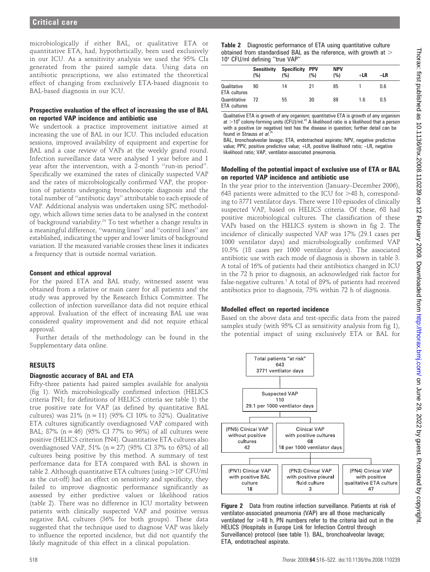microbiologically if either BAL, or qualitative ETA or quantitative ETA, had, hypothetically, been used exclusively in our ICU. As a sensitivity analysis we used the 95% CIs generated from the paired sample data. Using data on antibiotic prescriptions, we also estimated the theoretical effect of changing from exclusively ETA-based diagnosis to BAL-based diagnosis in our ICU.

#### Prospective evaluation of the effect of increasing the use of BAL on reported VAP incidence and antibiotic use

We undertook a practice improvement initiative aimed at increasing the use of BAL in our ICU. This included education sessions, improved availability of equipment and expertise for BAL and a case review of VAPs at the weekly grand round. Infection surveillance data were analysed 1 year before and 1 year after the intervention, with a 2-month ''run-in period''. Specifically we examined the rates of clinically suspected VAP and the rates of microbiologically confirmed VAP, the proportion of patients undergoing bronchoscopic diagnosis and the total number of ''antibiotic days'' attributable to each episode of VAP. Additional analysis was undertaken using SPC methodology, which allows time series data to be analysed in the context of background variability.<sup>24</sup> To test whether a change results in a meaningful difference, ''warning lines'' and ''control lines'' are established, indicating the upper and lower limits of background variation. If the measured variable crosses these lines it indicates a frequency that is outside normal variation.

# Consent and ethical approval

For the paired ETA and BAL study, witnessed assent was obtained from a relative or main carer for all patients and the study was approved by the Research Ethics Committee. The collection of infection surveillance data did not require ethical approval. Evaluation of the effect of increasing BAL use was considered quality improvement and did not require ethical approval.

Further details of the methodology can be found in the Supplementary data online.

# RESULTS

# Diagnostic accuracy of BAL and ETA

Fifty-three patients had paired samples available for analysis (fig 1). With microbiologically confirmed infection (HELICS criteria PN1; for definitions of HELICS criteria see table 1) the true positive rate for VAP (as defined by quantitative BAL cultures) was 21% ( $n = 11$ ) (95% CI 10% to 32%). Qualitative ETA cultures significantly overdiagnosed VAP compared with BAL; 87% ( $n = 46$ ) (95% CI 77% to 96%) of all cultures were positive (HELICS criterion PN4). Quantitative ETA cultures also overdiagnosed VAP, 51% ( $n = 27$ ) (95% CI 37% to 63%) of all cultures being positive by this method. A summary of test performance data for ETA compared with BAL is shown in table 2. Although quantitative ETA cultures (using  $>10^6$  CFU/ml as the cut-off) had an effect on sensitivity and specificity, they failed to improve diagnostic performance significantly as assessed by either predictive values or likelihood ratios (table 2). There was no difference in ICU mortality between patients with clinically suspected VAP and positive versus negative BAL cultures (36% for both groups). These data suggested that the technique used to diagnose VAP was likely to influence the reported incidence, but did not quantify the likely magnitude of this effect in a clinical population.

Table 2 Diagnostic performance of ETA using quantitative culture obtained from standardised BAL as the reference, with growth at  $>$ 104 CFU/ml defining ''true VAP''

|                                     | <b>Sensitivity</b><br>(%) | <b>Specificity</b><br>(%) | <b>PPV</b><br>(%) | <b>NPV</b><br>(%) | $+LR$ | $-LR$ |
|-------------------------------------|---------------------------|---------------------------|-------------------|-------------------|-------|-------|
| Qualitative<br><b>ETA</b> cultures  | 90                        | 14                        | 21                | 85                |       | 0.6   |
| Quantitative<br><b>ETA</b> cultures | 72                        | 55                        | 30                | 88                | 1.6   | 0.5   |

Qualitative ETA is growth of any organism; quantitative ETA is growth of any organism<br>at >10° colony-forming units (CFU)/ml.<sup>20</sup> A likelihood ratio is a likelihood that a person with a positive (or negative) test has the disease in question; further detail can be found in Strauss et al.<sup>25</sup>

BAL, bronchoalveolar lavage; ETA, endotracheal aspirate; NPV, negative predictive value; PPV, positive predictive value; +LR, positive likelihood ratio; –LR, negative likelihood ratio; VAP, ventilator-associated pneumonia.

# Modelling of the potential impact of exclusive use of ETA or BAL on reported VAP incidence and antibiotic use

In the year prior to the intervention (January–December 2006), 643 patients were admitted to the ICU for  $>48$  h, corresponding to 3771 ventilator days. There were 110 episodes of clinically suspected VAP, based on HELICS criteria. Of these, 68 had positive microbiological cultures. The classification of these VAPs based on the HELICS system is shown in fig 2. The incidence of clinically suspected VAP was 17% (29.1 cases per 1000 ventilator days) and microbiologically confirmed VAP 10.5% (18 cases per 1000 ventilator days). The associated antibiotic use with each mode of diagnosis is shown in table 3. A total of 16% of patients had their antibiotics changed in ICU in the 72 h prior to diagnosis, an acknowledged risk factor for false-negative cultures.<sup>1</sup> A total of 89% of patients had received antibiotics prior to diagnosis, 75% within 72 h of diagnosis.

# Modelled effect on reported incidence

Based on the above data and test-specific data from the paired samples study (with 95% CI as sensitivity analysis from fig 1), the potential impact of using exclusively ETA or BAL for



Figure 2 Data from routine infection surveillance. Patients at risk of ventilator-associated pneumonia (VAP) are all those mechanically ventilated for  $\geq 48$  h. PN numbers refer to the criteria laid out in the HELICS (Hospitals in Europe Link for Infection Control through Surveillance) protocol (see table 1). BAL, bronchoalveolar lavage; ETA, endotracheal aspirate.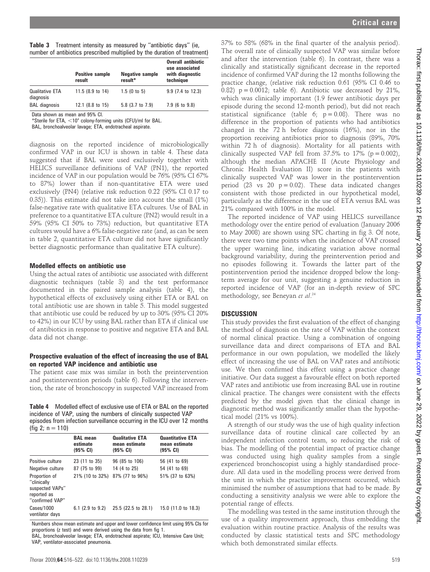Table 3 Treatment intensity as measured by "antibiotic days" (ie, number of antibiotics prescribed multiplied by the duration of treatment)

|                                     | <b>Positive sample</b><br>result | <b>Negative sample</b><br>result* | <b>Overall antibiotic</b><br>use associated<br>with diagnostic<br>technique |
|-------------------------------------|----------------------------------|-----------------------------------|-----------------------------------------------------------------------------|
| <b>Qualitative ETA</b><br>diagnosis | 11.5 (8.9 to 14)                 | 1.5(0 to 5)                       | 9.9 (7.4 to 12.3)                                                           |
| <b>BAL</b> diagnosis                | 12.1 (8.8 to 15)                 | 5.8 (3.7 to 7.9)                  | 7.9 (6 to 9.8)                                                              |

Data shown as mean and 95% CI.

 $*$ Sterile for ETA,  $<$ 10<sup>4</sup> colony-forming units (CFU)/ml for BAL.

BAL, bronchoalveolar lavage; ETA, endotracheal aspirate.

diagnosis on the reported incidence of microbiologically confirmed VAP in our ICU is shown in table 4. These data suggested that if BAL were used exclusively together with HELICS surveillance definitions of VAP (PN1), the reported incidence of VAP in our population would be 76% (95% CI 67% to 87%) lower than if non-quantitative ETA were used exclusively (PN4) (relative risk reduction 0.22 (95% CI 0.17 to 0.35)). This estimate did not take into account the small (1%) false-negative rate with qualitative ETA cultures. Use of BAL in preference to a quantitative ETA culture (PN2) would result in a 59% (95% CI 50% to 73%) reduction, but quantitative ETA cultures would have a 6% false-negative rate (and, as can be seen in table 2, quantitative ETA culture did not have significantly better diagnostic performance than qualitative ETA culture).

#### Modelled effects on antibiotic use

Using the actual rates of antibiotic use associated with different diagnostic techniques (table 3) and the test performance documented in the paired sample analysis (table 4), the hypothetical effects of exclusively using either ETA or BAL on total antibiotic use are shown in table 5. This model suggested that antibiotic use could be reduced by up to 30% (95% CI 20% to 42%) in our ICU by using BAL rather than ETA if clinical use of antibiotics in response to positive and negative ETA and BAL data did not change.

#### Prospective evaluation of the effect of increasing the use of BAL on reported VAP incidence and antibiotic use

The patient case mix was similar in both the preintervention and postintervention periods (table 6). Following the intervention, the rate of bronchoscopy in suspected VAP increased from

Table 4 Modelled effect of exclusive use of ETA or BAL on the reported incidence of VAP, using the numbers of clinically suspected VAP episodes from infection surveillance occurring in the ICU over 12 months (fig 2;  $n = 110$ )

|                                                                                   | <b>BAL</b> mean<br>estimate<br>$(95\% \text{ CI})$ | <b>Qualitative ETA</b><br>mean estimate<br>(95% CI) | <b>Quantitative ETA</b><br>mean estimate<br>$(95% \; \text{Cl})$ |
|-----------------------------------------------------------------------------------|----------------------------------------------------|-----------------------------------------------------|------------------------------------------------------------------|
| Positive culture                                                                  | 23 (11 to 35)                                      | 96 (85 to 106)                                      | 56 (41 to 69)                                                    |
| Negative culture                                                                  | 87 (75 to 99)                                      | 14 (4 to 25)                                        | 54 (41 to 69)                                                    |
| Proportion of<br>"clinically<br>suspected VAPs"<br>reported as<br>"confirmed VAP" | 21% (10 to 32%)                                    | 87% (77 to 96%)                                     | 51% (37 to 63%)                                                  |
| Cases/1000<br>ventilator days                                                     | 6.1 $(2.9 \text{ to } 9.2)$                        | 25.5 (22.5 to 28.1)                                 | 15.0 (11.0 to 18.3)                                              |

Numbers show mean estimate and upper and lower confidence limit using 95% CIs for proportions (z test) and were derived using the data from fig 1.

BAL, bronchoalveolar lavage; ETA, endotracheal aspirate; ICU, Intensive Care Unit; VAP, ventilator-associated pneumonia.

37% to 58% (68% in the final quarter of the analysis period). The overall rate of clinically suspected VAP was similar before and after the intervention (table 6). In contrast, there was a clinically and statistically significant decrease in the reported incidence of confirmed VAP during the 12 months following the practice change, (relative risk reduction 0.61 (95% CI 0.46 to 0.82)  $p = 0.0012$ ; table 6). Antibiotic use decreased by 21%, which was clinically important (1.9 fewer antibiotic days per episode during the second 12-month period), but did not reach statistical significance (table 6;  $p = 0.08$ ). There was no difference in the proportion of patients who had antibiotics changed in the 72 h before diagnosis (16%), nor in the proportion receiving antibiotics prior to diagnosis (89%, 70% within 72 h of diagnosis). Mortality for all patients with clinically suspected VAP fell from  $37.5\%$  to  $17\%$  (p = 0.002), although the median APACHE II (Acute Physiology and Chronic Health Evaluation II) score in the patients with clinically suspected VAP was lower in the postintervention period (23 vs 20  $p = 0.02$ ). These data indicated changes consistent with those predicted in our hypothetical model, particularly as the difference in the use of ETA versus BAL was 21% compared with 100% in the model.

The reported incidence of VAP using HELICS surveillance methodology over the entire period of evaluation (January 2006 to May 2008) are shown using SPC charting in fig 3. Of note, there were two time points when the incidence of VAP crossed the upper warning line, indicating variation above normal background variability, during the preintervention period and no episodes following it. Towards the latter part of the postintervention period the incidence dropped below the longterm average for our unit, suggesting a genuine reduction in reported incidence of VAP (for an in-depth review of SPC methodology, see Beneyan et al. 24

#### **DISCUSSION**

This study provides the first evaluation of the effect of changing the method of diagnosis on the rate of VAP within the context of normal clinical practice. Using a combination of ongoing surveillance data and direct comparisons of ETA and BAL performance in our own population, we modelled the likely effect of increasing the use of BAL on VAP rates and antibiotic use. We then confirmed this effect using a practice change initiative. Our data suggest a favourable effect on both reported VAP rates and antibiotic use from increasing BAL use in routine clinical practice. The changes were consistent with the effects predicted by the model given that the clinical change in diagnostic method was significantly smaller than the hypothetical model (21% vs 100%).

A strength of our study was the use of high quality infection surveillance data of routine clinical care collected by an independent infection control team, so reducing the risk of bias. The modelling of the potential impact of practice change was conducted using high quality samples from a single experienced bronchoscopist using a highly standardised procedure. All data used in the modelling process were derived from the unit in which the practice improvement occurred, which minimised the number of assumptions that had to be made. By conducting a sensitivity analysis we were able to explore the potential range of effects.

The modelling was tested in the same institution through the use of a quality improvement approach, thus embedding the evaluation within routine practice. Analysis of the results was conducted by classic statistical tests and SPC methodology which both demonstrated similar effects.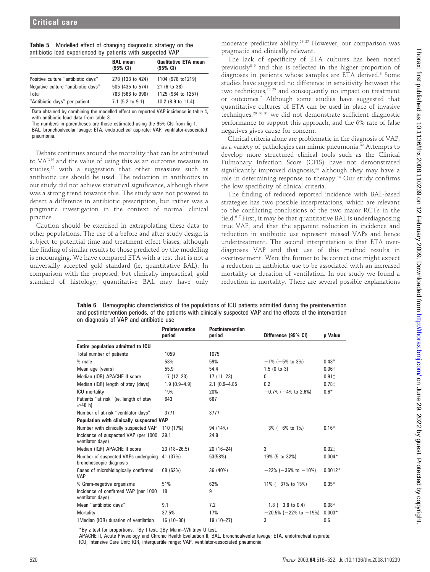|  |  | <b>Table 5</b> Modelled effect of changing diagnostic strategy on the |  |  |
|--|--|-----------------------------------------------------------------------|--|--|
|  |  | antibiotic load experienced by patients with suspected VAP            |  |  |

|                                    | <b>BAL</b> mean<br>$(95% \; \text{Cl})$ | <b>Qualitative ETA mean</b><br>$(95\% \text{ CI})$ |  |  |
|------------------------------------|-----------------------------------------|----------------------------------------------------|--|--|
| Positive culture "antibiotic days" | 278 (133 to 424)                        | 1104 (978 to 1219)                                 |  |  |
| Negative culture "antibiotic days" | 505 (435 to 574)                        | 21 (6 to 38)                                       |  |  |
| Total                              | 783 (568 to 998)                        | 1125 (984 to 1257)                                 |  |  |
| "Antibiotic days" per patient      | $7.1$ (5.2 to 9.1)                      | 10.2 (8.9 to 11.4)                                 |  |  |

Data obtained by combining the modelled effect on reported VAP incidence in table 4, with antibiotic load data from table 3.

The numbers in parentheses are those estimated using the 95% CIs from fig 1.

BAL, bronchoalveolar lavage; ETA, endotracheal aspirate; VAP, ventilator-associated pneumonia.

Debate continues around the mortality that can be attributed to VAP14 and the value of using this as an outcome measure in studies,<sup>15</sup> with a suggestion that other measures such as antibiotic use should be used. The reduction in antibiotics in our study did not achieve statistical significance, although there was a strong trend towards this. The study was not powered to detect a difference in antibiotic prescription, but rather was a pragmatic investigation in the context of normal clinical practice.

Caution should be exercised in extrapolating these data to other populations. The use of a before and after study design is subject to potential time and treatment effect biases, although the finding of similar results to those predicted by the modelling is encouraging. We have compared ETA with a test that is not a universally accepted gold standard (ie, quantitative BAL). In comparison with the proposed, but clinically impractical, gold standard of histology, quantitative BAL may have only

moderate predictive ability.26 27 However, our comparison was pragmatic and clinically relevant.

The lack of specificity of ETA cultures has been noted previously<sup>8 9</sup> and this is reflected in the higher proportion of diagnoses in patients whose samples are ETA derived.<sup>6</sup> Some studies have suggested no difference in sensitivity between the two techniques,<sup>28</sup> <sup>29</sup> and consequently no impact on treatment or outcomes.7 Although some studies have suggested that quantitative cultures of ETA can be used in place of invasive techniques,<sup>20 30 31</sup> we did not demonstrate sufficient diagnostic performance to support this approach, and the 6% rate of false negatives gives cause for concern.

Clinical criteria alone are problematic in the diagnosis of VAP, as a variety of pathologies can mimic pneumonia.<sup>32</sup> Attempts to develop more structured clinical tools such as the Clinical Pulmonary Infection Score (CPIS) have not demonstrated significantly improved diagnosis,<sup>33</sup> although they may have a role in determining response to therapy.<sup>14</sup> Our study confirms the low specificity of clinical criteria.

The finding of reduced reported incidence with BAL-based strategies has two possible interpretations, which are relevant to the conflicting conclusions of the two major RCTs in the field.6 7 First, it may be that quantitative BAL is underdiagnosing true VAP, and that the apparent reduction in incidence and reduction in antibiotic use represent missed VAPs and hence undertreatment. The second interpretation is that ETA overdiagnoses VAP and that use of this method results in overtreatment. Were the former to be correct one might expect a reduction in antibiotic use to be associated with an increased mortality or duration of ventilation. In our study we found a reduction in mortality. There are several possible explanations

Table 6 Demographic characteristics of the populations of ICU patients admitted during the preintervention and postintervention periods, of the patients with clinically suspected VAP and the effects of the intervention on diagnosis of VAP and antibiotic use

|                                                                | <b>Preintervention</b> | <b>Postintervention</b> |                                  |               |  |
|----------------------------------------------------------------|------------------------|-------------------------|----------------------------------|---------------|--|
|                                                                | period                 | period                  | Difference (95% CI)              | p Value       |  |
| Entire population admitted to ICU                              |                        |                         |                                  |               |  |
| Total number of patients                                       | 1059                   | 1075                    |                                  |               |  |
| $%$ male                                                       | 58%                    | 59%                     | $-1\%$ (-5% to 3%)               | $0.43*$       |  |
| Mean age (years)                                               | 55.9                   | 54.4                    | 1.5(0 to 3)                      | $0.06\dagger$ |  |
| Median (IQR) APACHE II score                                   | $17(12-23)$            | $17(11 - 23)$           | 0                                | 0.911         |  |
| Median (IQR) length of stay (days)                             | $1.9(0.9-4.9)$         | $2.1(0.9 - 4.85)$       | 0.2                              | 0.781         |  |
| <b>ICU</b> mortality                                           | 19%                    | 20%                     | $-0.7\%$ ( $-4\%$ to 2.6%)       | $0.6*$        |  |
| Patients "at risk" (ie, length of stay<br>$\geq 48$ h)         | 643                    | 667                     |                                  |               |  |
| Number of at-risk "ventilator days"                            | 3771                   | 3777                    |                                  |               |  |
| Population with clinically suspected VAP                       |                        |                         |                                  |               |  |
| Number with clinically suspected VAP                           | 110 (17%)              | 94 (14%)                | $-3\%$ ( $-6\%$ to 1%)           | $0.16*$       |  |
| Incidence of suspected VAP (per 1000)<br>ventilator days)      | 29.1                   | 24.9                    |                                  |               |  |
| Median (IQR) APACHE II score                                   | $23(18 - 26.5)$        | $20(16-24)$             | 3                                | 0.021         |  |
| Number of suspected VAPs undergoing<br>bronchoscopic diagnosis | 41 (37%)               | 53(58%)                 | 19% (5 to 32%)                   | $0.004*$      |  |
| Cases of microbiologically confirmed<br><b>VAP</b>             | 68 (62%)               | 36 (40%)                | $-22\%$ ( $-36\%$ to $-10\%$ )   | $0.0012*$     |  |
| % Gram-negative organisms                                      | 51%                    | 62%                     | 11% $(-37%$ to 15%)              | $0.35*$       |  |
| Incidence of confirmed VAP (per 1000<br>ventilator days)       | 18                     | 9                       |                                  |               |  |
| Mean "antibiotic days"                                         | 9.1                    | 7.2                     | $-1.8$ (-3.8 to 0.4)             | $0.08\dagger$ |  |
| Mortality                                                      | 37.5%                  | 17%                     | $-20.5\%$ ( $-22\%$ to $-19\%$ ) | $0.003*$      |  |
| 1 Median (IQR) duration of ventilation                         | $16(10-30)$            | $19(10-27)$             | 3                                | 0.6           |  |

\*By z test for proportions. {By t test. {By Mann–Whitney U test.

APACHE II, Acute Physiology and Chronic Health Evaluation II; BAL, bronchoalveolar lavage; ETA, endotracheal aspirate; ICU, Intensive Care Unit; IQR, interquartile range; VAP, ventilator-associated pneumonia.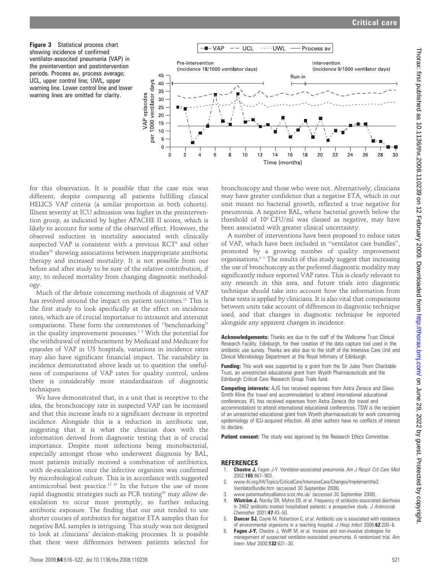Figure 3 Statistical process chart showing incidence of confirmed ventilator-associted pneumonia (VAP) in the preintervention and postintervention periods. Process av, process average; UCL, upper control line; UWL, upper warning line. Lower control line and lower warning lines are omitted for clarity.



for this observation. It is possible that the case mix was different, despite comparing all patients fulfilling clinical HELICS VAP criteria (a similar proportion in both cohorts). Illness severity at ICU admission was higher in the preintervention group, as indicated by higher APACHE II scores, which is likely to account for some of the observed effect. However, the observed reduction in mortality associated with clinically suspected VAP is consistent with a previous  $RCT^6$  and other studies<sup>34</sup> showing associations between inappropriate antibiotic therapy and increased mortality. It is not possible from our before and after study to be sure of the relative contribution, if any, to reduced mortality from changing diagnostic methodology.

Much of the debate concerning methods of diagnosis of VAP has revolved around the impact on patient outcomes.<sup>15</sup> This is the first study to look specifically at the effect on incidence rates, which are of crucial importance to intraunit and interunit comparisons. These form the cornerstones of ''benchmarking'' in the quality improvement processes.<sup>2 3</sup> With the potential for the withdrawal of reimbursement by Medicaid and Medicare for episodes of VAP in US hospitals, variations in incidence rates may also have significant financial impact. The variability in incidence demonstrated above leads us to question the usefulness of comparisons of VAP rates for quality control, unless there is considerably more standardisation of diagnostic techniques.

We have demonstrated that, in a unit that is receptive to the idea, the bronchoscopy rate in suspected VAP can be increased and that this increase leads to a significant decrease in reported incidence. Alongside this is a reduction in antibiotic use, suggesting that it is what the clinician does with the information derived from diagnostic testing that is of crucial importance. Despite most infections being monobacterial, especially amongst those who underwent diagnosis by BAL, most patients initially received a combination of antibiotics, with de-escalation once the infective organism was confirmed by microbiological culture. This is in accordance with suggested antimicrobial best practice.12 13 In the future the use of more rapid diagnostic strategies such as PCR testing<sup>35</sup> may allow deescalation to occur more promptly, so further reducing antibiotic exposure. The finding that our unit tended to use shorter courses of antibiotics for negative ETA samples than for negative BAL samples is intriguing. This study was not designed to look at clinicians' decision-making processes. It is possible that there were differences between patients selected for

bronchoscopy and those who were not. Alternatively, clinicians may have greater confidence that a negative ETA, which in our unit meant no bacterial growth, reflected a true negative for pneumonia. A negative BAL, where bacterial growth below the threshold of 104 CFU/ml was classed as negative, may have been associated with greater clinical uncertainty.

A number of interventions have been proposed to reduce rates of VAP, which have been included in ''ventilator care bundles'', promoted by a growing number of quality improvement organisations.2 3 The results of this study suggest that increasing the use of bronchoscopy as the preferred diagnostic modality may significantly reduce reported VAP rates. This is clearly relevant to any research in this area, and future trials into diagnostic technique should take into account how the information from these tests is applied by clinicians. It is also vital that comparisons between units take account of differences in diagnostic technique used, and that changes in diagnostic technique be reported alongside any apparent changes in incidence.

Acknowledgements: Thanks are due to the staff of the Wellcome Trust Clinical Research Facility, Edinburgh, for their creation of the data capture tool used in the antibiotic use survey. Thanks are also due to the staff of the Intensive Care Unit and Clinical Microbiology Department at the Royal Infirmary of Edinburgh.

**Funding:** This work was supported by a grant from the Sir Jules Thorn Charitable Trust, an unrestricted educational grant from Wyeth Pharmaceuticals and the Edinburgh Critical Care Research Group Trials fund.

Competing interests: AJS has received expenses from Astra Zeneca and Glaxo Smith Kline (for travel and accommodation) to attend international educational conferences. IFL has received expenses from Astra Zeneca (for travel and accommodation) to attend international educational conferences. TSW is the recipient of an unrestricted educational grant from Wyeth pharmaceuticals for work concerning epidemiology of ICU-acquired infection. All other authors have no conflicts of interest to declare.

Patient consent: The study was approved by the Research Ethics Committee.

#### **REFERENCES**

- Chastre J, Fagon J-Y. Ventilator-associated pneumonia. Am J Respir Crit Care Med 2002;165:867–903.
- 2. www.ihi.org/IHI/Topics/CriticalCare/IntensiveCare/Changes/Implementthe2. VentilatorBundle.htm (accessed 30 September 2008).
- 3. www.patientsafetyalliance.scot.nhs.uk/ (accessed 30 September 2008).
- Wiström J, Norrby SR, Myhre EB, et al. Frequency of antibiotic-associated diarrhoea in 2462 antibiotic-treated hospitalized patients: a prospective study. J Antimicrob Chemother 2001;47:43–50.
- 5. **Dancer SJ,** Coyne M, Robertson C, et al. Antibiotic use is associated with resistance of environmental organisms in a teaching hospital. J Hosp Infect 2006;62:200-6.
- 6. Fagon J-Y, Chastre J, Wolff M, et al. Invasive and non-invasive strategies for management of suspected ventilator-associated pneumonia. A randomized trial. Ann Intern Med 2000;132:621–30.